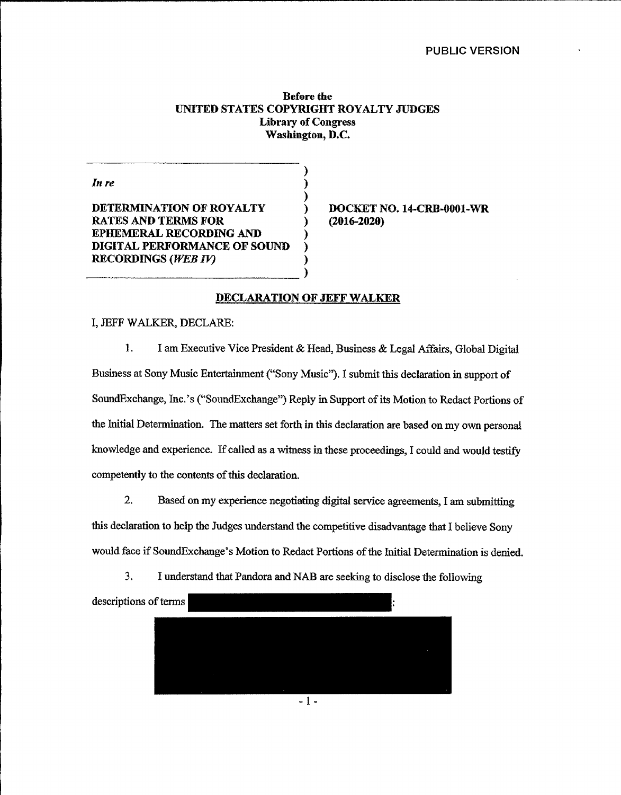### PUBLIC VERSION

## Before the UNITED STATES COPYRIGHT ROYALTY JUDGES Library of Congress Washington, D.C.

) ) )

)

) ) ) )

In re

DETERMINATION OF ROYALTY RATES AND TERMS FOR EPHEMERAL RECORDING AND DIGITAL PERFORMANCE OF SOUND RECORDINGS (WEB IV)

) 9OCKKT NO. 14-CRB-0001-WR (2016-2020)

### DECLARATION OF JEFF WALKER

## I, JEFF WALKER, DECLARE:

1. I am Executive Vice President & Head, Business & Legal Affairs, Global Digital Business at Sony Music Entertainment ("Sony Music"). <sup>I</sup> submit this declaration in support of SoundExchange, Inc.'s ("SoundExchange") Reply in Support of its Motion to Redact Portions of the Initial Determination. The matters set forth in this declaration are based on my own personal knowledge and experience. If called as a witness in these proceedings, I could and would testify competently to the contents of this declaration.

2. Based on my experience negotiating digital service agreements, I am submitting this declaration to help the Judges understand the competitive disadvantage that I believe Sony would face if SoundExchange's Motion to Redact Portions of the Initial Determination is denied.

3. I understand that Pandora and NAB are seeking to disclose the following



 $-1 -$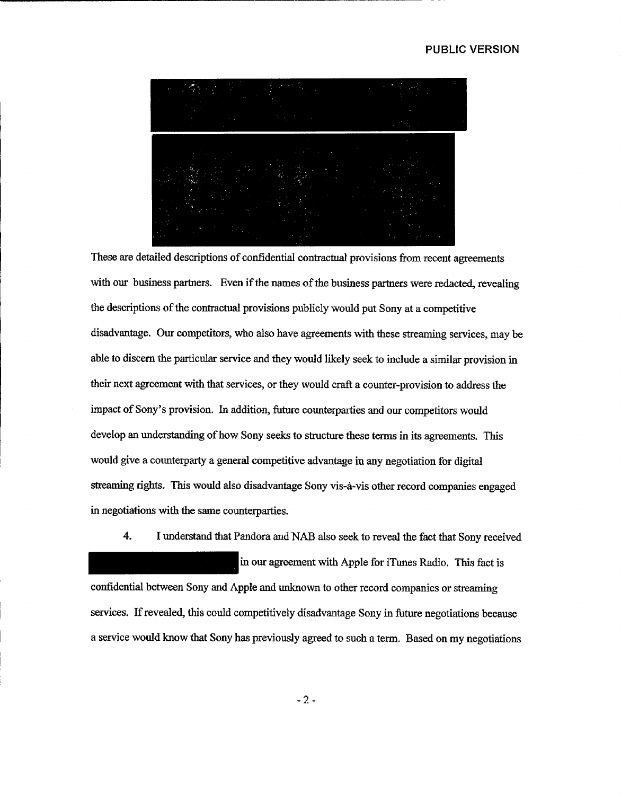# PUBLIC VERSION

These are detailed descriptions of confidential contractual provisions from recent agreements with our business partners. Even if the names of the business partners were redacted, revealing the descriptions of the contractual provisions publicly would put Sony at a competitive disadvantage. Our competitors, who also have agreements with these streaming services, may be able to discern the particular service and they would likely seek to include a similar provision in their next agreement with that services, or they would craft a counter-provision to address the impact of Sony's provision. In addition, future counterparties and our competitors would develop an understanding of how Sony seeks to structure these terms in its agreements. This would give a counterparty a general competitive advantage in any negotiation for digital streaming rights. This would also disadvantage Sony vis-a-vis other record companies engaged in negotiations with the same counterparties.

4. I understand that Pandora and NAB also seek to reveal the fact that Sony received

in our agreement with Apple for iTunes Radio. This fact is confidential between Sony and Apple and unknown to other record companies or streaming services. If revealed, this could competitively disadvantage Sony in future negotiations because a service would know that Sony has previously agreed to such a term, Based on my negotiations